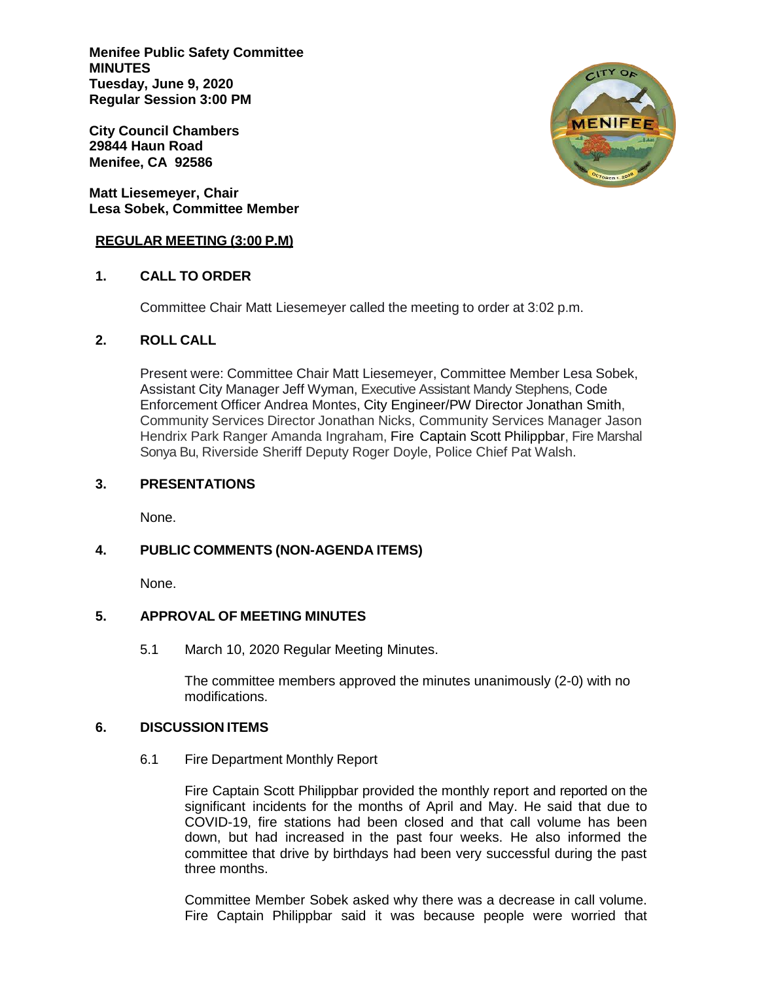**Menifee Public Safety Committee MINUTES Tuesday, June 9, 2020 Regular Session 3:00 PM**

**City Council Chambers 29844 Haun Road Menifee, CA 92586**

**Matt Liesemeyer, Chair Lesa Sobek, Committee Member**

#### **REGULAR MEETING (3:00 P.M)**

## **1. CALL TO ORDER**

Committee Chair Matt Liesemeyer called the meeting to order at 3:02 p.m.

### **2. ROLL CALL**

Present were: Committee Chair Matt Liesemeyer, Committee Member Lesa Sobek, Assistant City Manager Jeff Wyman, Executive Assistant Mandy Stephens, Code Enforcement Officer Andrea Montes, City Engineer/PW Director Jonathan Smith, Community Services Director Jonathan Nicks, Community Services Manager Jason Hendrix Park Ranger Amanda Ingraham, Fire Captain Scott Philippbar, Fire Marshal Sonya Bu, Riverside Sheriff Deputy Roger Doyle, Police Chief Pat Walsh.

### **3. PRESENTATIONS**

None.

# **4. PUBLIC COMMENTS (NON-AGENDA ITEMS)**

None.

# **5. APPROVAL OF MEETING MINUTES**

5.1 March 10, 2020 Regular Meeting Minutes.

The committee members approved the minutes unanimously (2-0) with no modifications.

#### **6. DISCUSSION ITEMS**

6.1 Fire Department Monthly Report

Fire Captain Scott Philippbar provided the monthly report and reported on the significant incidents for the months of April and May. He said that due to COVID-19, fire stations had been closed and that call volume has been down, but had increased in the past four weeks. He also informed the committee that drive by birthdays had been very successful during the past three months.

Committee Member Sobek asked why there was a decrease in call volume. Fire Captain Philippbar said it was because people were worried that

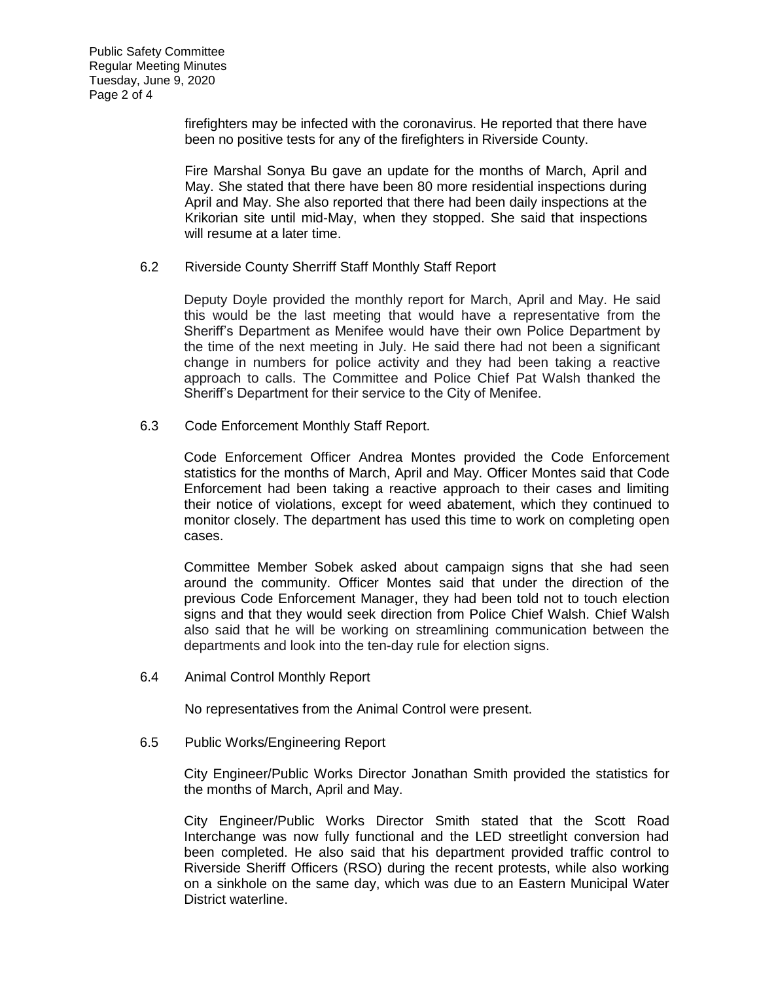firefighters may be infected with the coronavirus. He reported that there have been no positive tests for any of the firefighters in Riverside County.

Fire Marshal Sonya Bu gave an update for the months of March, April and May. She stated that there have been 80 more residential inspections during April and May. She also reported that there had been daily inspections at the Krikorian site until mid-May, when they stopped. She said that inspections will resume at a later time.

6.2 Riverside County Sherriff Staff Monthly Staff Report

Deputy Doyle provided the monthly report for March, April and May. He said this would be the last meeting that would have a representative from the Sheriff's Department as Menifee would have their own Police Department by the time of the next meeting in July. He said there had not been a significant change in numbers for police activity and they had been taking a reactive approach to calls. The Committee and Police Chief Pat Walsh thanked the Sheriff's Department for their service to the City of Menifee.

6.3 Code Enforcement Monthly Staff Report.

Code Enforcement Officer Andrea Montes provided the Code Enforcement statistics for the months of March, April and May. Officer Montes said that Code Enforcement had been taking a reactive approach to their cases and limiting their notice of violations, except for weed abatement, which they continued to monitor closely. The department has used this time to work on completing open cases.

Committee Member Sobek asked about campaign signs that she had seen around the community. Officer Montes said that under the direction of the previous Code Enforcement Manager, they had been told not to touch election signs and that they would seek direction from Police Chief Walsh. Chief Walsh also said that he will be working on streamlining communication between the departments and look into the ten-day rule for election signs.

6.4 Animal Control Monthly Report

No representatives from the Animal Control were present.

6.5 Public Works/Engineering Report

City Engineer/Public Works Director Jonathan Smith provided the statistics for the months of March, April and May.

City Engineer/Public Works Director Smith stated that the Scott Road Interchange was now fully functional and the LED streetlight conversion had been completed. He also said that his department provided traffic control to Riverside Sheriff Officers (RSO) during the recent protests, while also working on a sinkhole on the same day, which was due to an Eastern Municipal Water District waterline.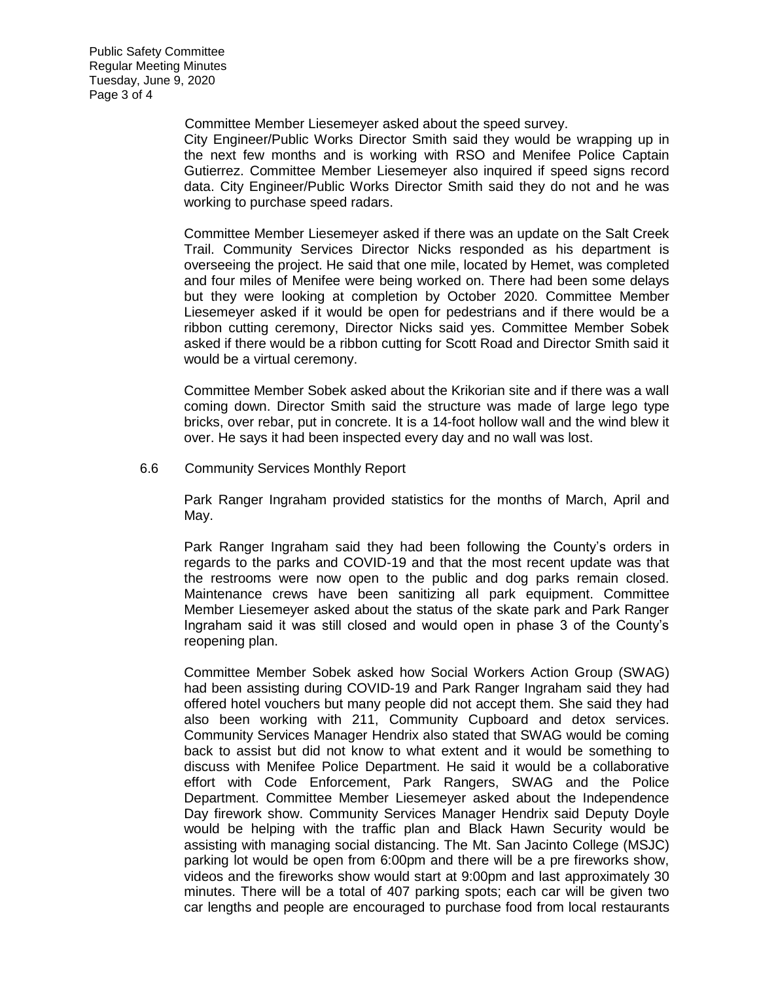Committee Member Liesemeyer asked about the speed survey.

City Engineer/Public Works Director Smith said they would be wrapping up in the next few months and is working with RSO and Menifee Police Captain Gutierrez. Committee Member Liesemeyer also inquired if speed signs record data. City Engineer/Public Works Director Smith said they do not and he was working to purchase speed radars.

Committee Member Liesemeyer asked if there was an update on the Salt Creek Trail. Community Services Director Nicks responded as his department is overseeing the project. He said that one mile, located by Hemet, was completed and four miles of Menifee were being worked on. There had been some delays but they were looking at completion by October 2020. Committee Member Liesemeyer asked if it would be open for pedestrians and if there would be a ribbon cutting ceremony, Director Nicks said yes. Committee Member Sobek asked if there would be a ribbon cutting for Scott Road and Director Smith said it would be a virtual ceremony.

Committee Member Sobek asked about the Krikorian site and if there was a wall coming down. Director Smith said the structure was made of large lego type bricks, over rebar, put in concrete. It is a 14-foot hollow wall and the wind blew it over. He says it had been inspected every day and no wall was lost.

6.6 Community Services Monthly Report

Park Ranger Ingraham provided statistics for the months of March, April and May.

Park Ranger Ingraham said they had been following the County's orders in regards to the parks and COVID-19 and that the most recent update was that the restrooms were now open to the public and dog parks remain closed. Maintenance crews have been sanitizing all park equipment. Committee Member Liesemeyer asked about the status of the skate park and Park Ranger Ingraham said it was still closed and would open in phase 3 of the County's reopening plan.

Committee Member Sobek asked how Social Workers Action Group (SWAG) had been assisting during COVID-19 and Park Ranger Ingraham said they had offered hotel vouchers but many people did not accept them. She said they had also been working with 211, Community Cupboard and detox services. Community Services Manager Hendrix also stated that SWAG would be coming back to assist but did not know to what extent and it would be something to discuss with Menifee Police Department. He said it would be a collaborative effort with Code Enforcement, Park Rangers, SWAG and the Police Department. Committee Member Liesemeyer asked about the Independence Day firework show. Community Services Manager Hendrix said Deputy Doyle would be helping with the traffic plan and Black Hawn Security would be assisting with managing social distancing. The Mt. San Jacinto College (MSJC) parking lot would be open from 6:00pm and there will be a pre fireworks show, videos and the fireworks show would start at 9:00pm and last approximately 30 minutes. There will be a total of 407 parking spots; each car will be given two car lengths and people are encouraged to purchase food from local restaurants